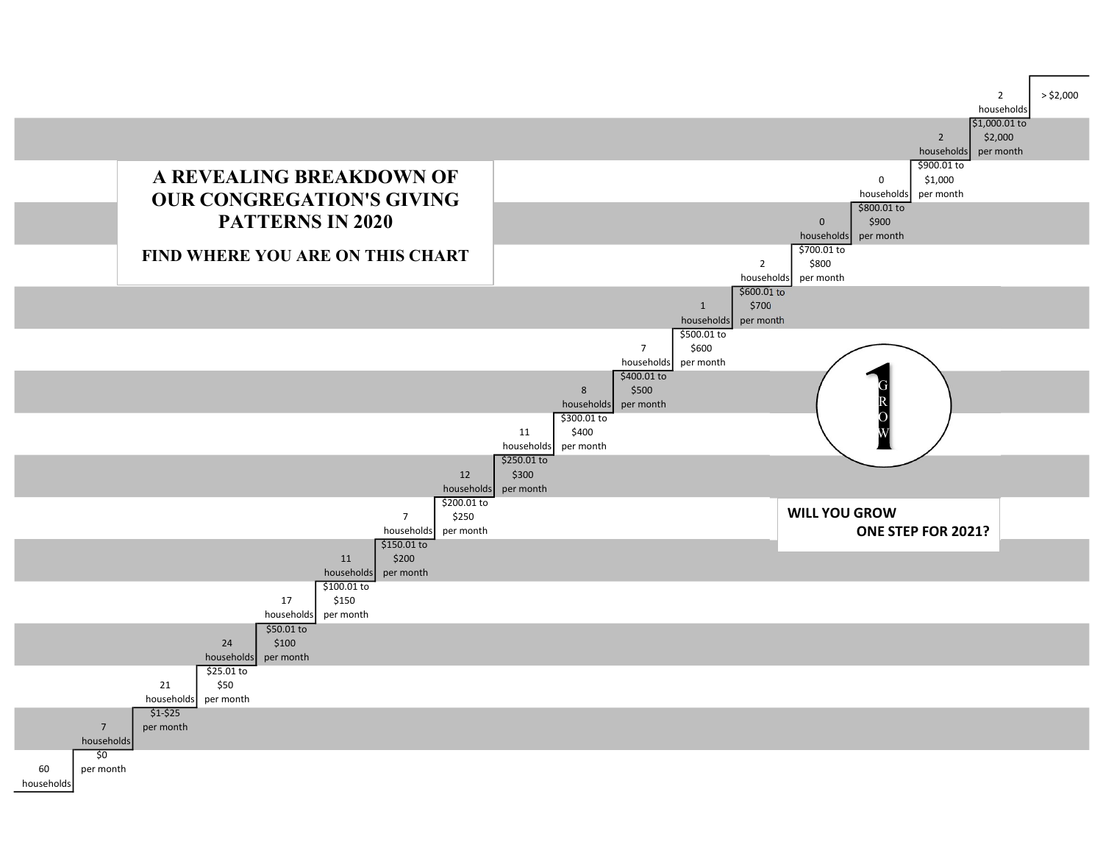